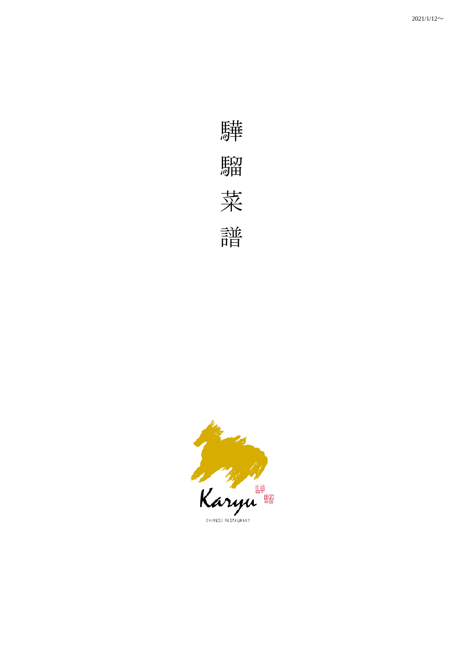

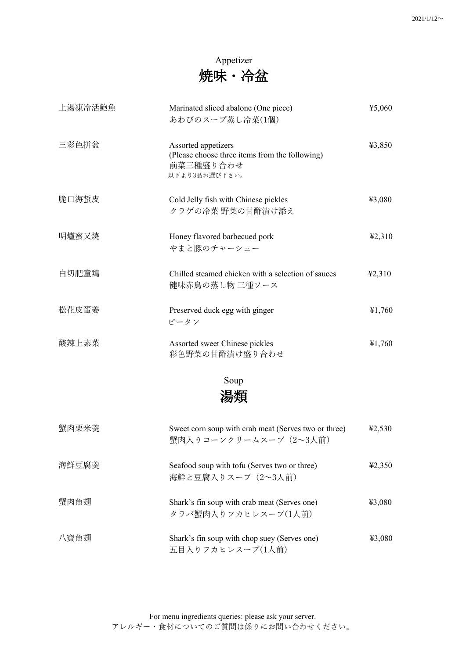#### Appetizer 焼味・冷盆

| 上湯凍冷活鮑魚 | Marinated sliced abalone (One piece)<br>あわびのスープ蒸し冷菜(1個)                                             | 45,060 |
|---------|-----------------------------------------------------------------------------------------------------|--------|
| 三彩色拼盆   | Assorted appetizers<br>(Please choose three items from the following)<br>前菜三種盛り合わせ<br>以下より3品お選び下さい。 | ¥3,850 |
| 脆口海蜇皮   | Cold Jelly fish with Chinese pickles<br>クラゲの冷菜 野菜の甘酢漬け添え                                            | ¥3,080 |
| 明爐蜜又焼   | Honey flavored barbecued pork<br>やまと豚のチャーシュー                                                        | 42,310 |
| 白切肥童鶏   | Chilled steamed chicken with a selection of sauces<br>健味赤鳥の蒸し物 三種ソース                                | 42,310 |
| 松花皮蛋姜   | Preserved duck egg with ginger<br>ピータン                                                              | 41,760 |
| 酸辣上素菜   | Assorted sweet Chinese pickles<br>彩色野菜の甘酢漬け盛り合わせ                                                    | ¥1,760 |
|         | Soup<br>湯類                                                                                          |        |
| 蟹肉栗米羮   | Sweet corn soup with crab meat (Serves two or three)<br>蟹肉入りコーンクリームスープ (2~3人前)                      | 42,530 |
| 海鮮豆腐羮   | Seafood soup with tofu (Serves two or three)<br>海鮮と豆腐入りスープ (2~3人前)                                  | 42,350 |
| 蟹肉魚翅    | Shark's fin soup with crab meat (Serves one)<br>タラバ蟹肉入りフカヒレスープ(1人前)                                 | ¥3,080 |
| 八寶魚翅    | Shark's fin soup with chop suey (Serves one)                                                        | 43,080 |

五目入りフカヒレスープ(1人前)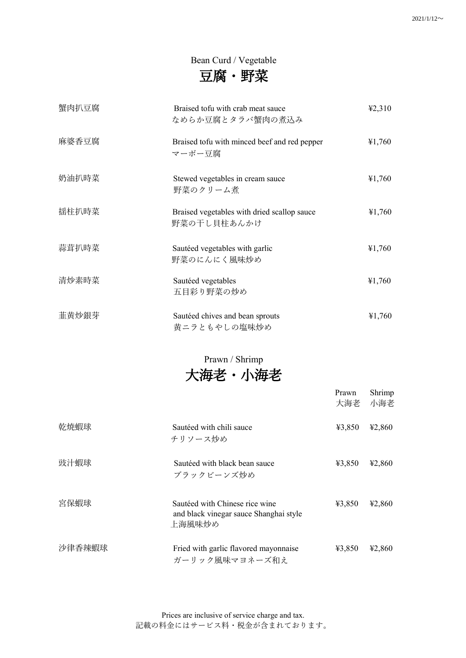#### Bean Curd / Vegetable

| 豆腐 |  | 野菜 |
|----|--|----|
|----|--|----|

| 蟹肉扒豆腐 | Braised tofu with crab meat sauce<br>なめらか豆腐とタラバ蟹肉の煮込み      | 42,310 |
|-------|------------------------------------------------------------|--------|
| 麻婆香豆腐 | Braised tofu with minced beef and red pepper<br>マーボー豆腐     | ¥1,760 |
| 奶油扒時菜 | Stewed vegetables in cream sauce<br>野菜のクリーム煮               | ¥1,760 |
| 揺柱扒時菜 | Braised vegetables with dried scallop sauce<br>野菜の干し貝柱あんかけ | ¥1,760 |
| 蒜茸扒時菜 | Sautéed vegetables with garlic<br>野菜のにんにく風味炒め              | ¥1,760 |
| 清炒素時菜 | Sautéed vegetables<br>五目彩り野菜の炒め                            | ¥1,760 |
| 韮黄炒銀芽 | Sautéed chives and bean sprouts<br>黄ニラともやしの塩味炒め            | ¥1,760 |

Prawn / Shrimp

大海老・小海老

|        |                                                                                    | Prawn<br>大海老 | Shrimp<br>小海老 |
|--------|------------------------------------------------------------------------------------|--------------|---------------|
| 乾焼蝦球   | Sautéed with chili sauce<br>チリソース炒め                                                | 43,850       | 42,860        |
| 豉汁蝦球   | Sautéed with black bean sauce<br>ブラックビーンズ炒め                                        | 43,850       | 42,860        |
| 宮保蝦球   | Sautéed with Chinese rice wine<br>and black vinegar sauce Shanghai style<br>上海風味炒め | ¥3,850       | 42,860        |
| 沙律香辣蝦球 | Fried with garlic flavored mayonnaise<br>ガーリック風味マヨネーズ和え                            | 43,850       | 42,860        |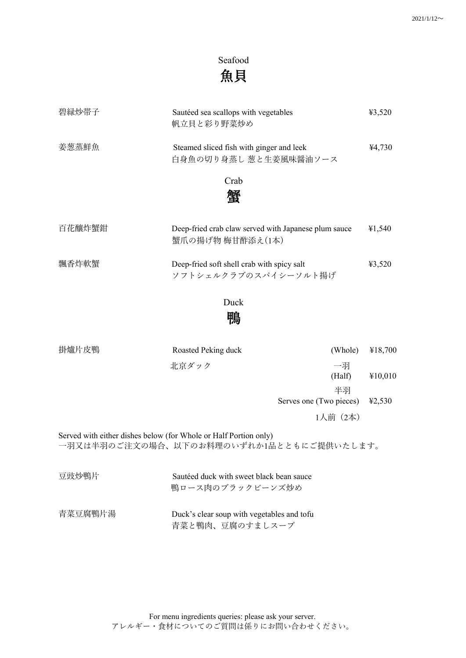### Seafood 魚貝

| 碧緑炒帯子  | Sautéed sea scallops with vegetables<br>帆立貝と彩り野菜炒め                       | 43,520 |
|--------|--------------------------------------------------------------------------|--------|
| 姜葱蒸鮮魚  | Steamed sliced fish with ginger and leek<br>白身魚の切り身蒸し 葱と生姜風味醤油ソース        | ¥4,730 |
|        | Crab                                                                     |        |
|        | 蟹                                                                        |        |
| 百花釀炸蟹鉗 | Deep-fried crab claw served with Japanese plum sauce<br>蟹爪の揚げ物 梅甘酢添え(1本) | ¥1,540 |
| 飄香炸軟蟹  | Deep-fried soft shell crab with spicy salt<br>ソフトシェルクラブのスパイシーソルト揚げ       | 43,520 |
|        | Duck                                                                     |        |
|        | 鴨                                                                        |        |

| 掛爐片皮鴨 | Roasted Peking duck                                                                                          | (Whole)                       | ¥18,700 |
|-------|--------------------------------------------------------------------------------------------------------------|-------------------------------|---------|
|       | 北京ダック                                                                                                        | 一羽<br>(Half)                  | ¥10,010 |
|       |                                                                                                              | 半羽<br>Serves one (Two pieces) | 42,530  |
|       |                                                                                                              | 1人前 (2本)                      |         |
|       | Served with either dishes below (for Whole or Half Portion only)<br>一羽又は半羽のご注文の場合、以下のお料理のいずれか1品とともにご提供いたします。 |                               |         |

| 豆豉炒鴨片   | Sautéed duck with sweet black bean sauce<br>鴨ロース肉のブラックビーンズ炒め  |
|---------|---------------------------------------------------------------|
| 青菜豆腐鴨片湯 | Duck's clear soup with vegetables and tofu<br>青菜と鴨肉、豆腐のすましスープ |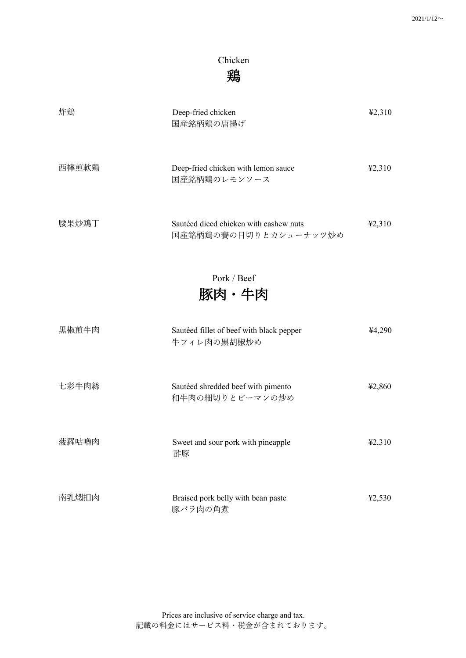#### Chicken 鶏

| 炸鶏    | Deep-fried chicken<br>国産銘柄鶏の唐揚げ                                 | 42,310 |
|-------|-----------------------------------------------------------------|--------|
| 西檸煎軟鶏 | Deep-fried chicken with lemon sauce<br>国産銘柄鶏のレモンソース             | 42,310 |
| 腰果炒鶏丁 | Sautéed diced chicken with cashew nuts<br>国産銘柄鶏の賽の目切りとカシューナッツ炒め | 42,310 |
|       | Pork / Beef<br>豚肉・牛肉                                            |        |
| 黒椒煎牛肉 | Sautéed fillet of beef with black pepper<br>牛フィレ肉の黒胡椒炒め         | 44,290 |
| 七彩牛肉絲 | Sautéed shredded beef with pimento<br>和牛肉の細切りとピーマンの炒め           | 42,860 |
| 菠羅咕嚕肉 | Sweet and sour pork with pineapple<br>酢豚                        | 42,310 |
| 南乳燜扣肉 | Braised pork belly with bean paste<br>豚バラ肉の角煮                   | ¥2,530 |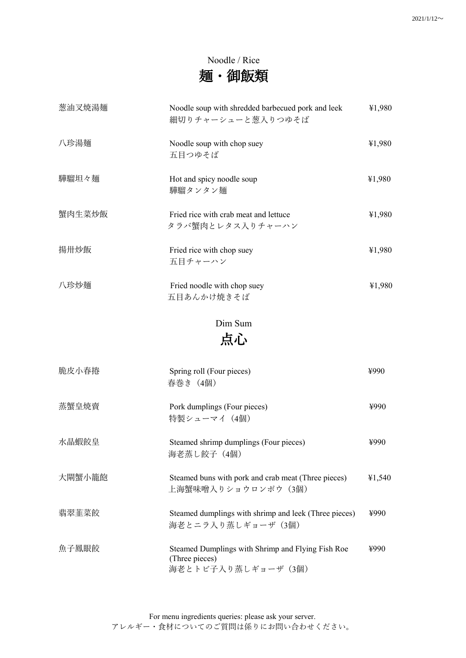#### Noodle / Rice 麺・御飯類

| 葱油叉焼湯麺 | Noodle soup with shredded barbecued pork and leek<br>細切りチャーシューと葱入りつゆそば | ¥1,980 |
|--------|------------------------------------------------------------------------|--------|
| 八珍湯麺   | Noodle soup with chop suey<br>五目つゆそば                                   | ¥1,980 |
| 驊騮坦々麺  | Hot and spicy noodle soup<br>驊騮タンタン麺                                   | ¥1,980 |
| 蟹肉生菜炒飯 | Fried rice with crab meat and lettuce<br>タラバ蟹肉とレタス入りチャーハン              | ¥1,980 |
| 揚卅炒飯   | Fried rice with chop suey<br>五目チャーハン                                   | ¥1,980 |
| 八珍炒麺   | Fried noodle with chop suey<br>五目あんかけ焼きそば                              | ¥1,980 |

## Dim Sum

# 点心

| 脆皮小春捲  | Spring roll (Four pieces)<br>春巻き(4個)                                                       | ¥990   |
|--------|--------------------------------------------------------------------------------------------|--------|
| 蒸蟹皇焼賣  | Pork dumplings (Four pieces)<br>特製シューマイ (4個)                                               | ¥990   |
| 水晶蝦餃皇  | Steamed shrimp dumplings (Four pieces)<br>海老蒸し餃子 (4個)                                      | ¥990   |
| 大閘蟹小籠飽 | Steamed buns with pork and crab meat (Three pieces)<br>上海蟹味噌入りショウロンポウ(3個)                  | ¥1,540 |
| 翡翠韮菜餃  | Steamed dumplings with shrimp and leek (Three pieces)<br>海老とニラ入り蒸しギョーザ(3個)                 | ¥990   |
| 魚子鳳眼餃  | Steamed Dumplings with Shrimp and Flying Fish Roe<br>(Three pieces)<br>海老とトビ子入り蒸しギョーザ (3個) | ¥990   |